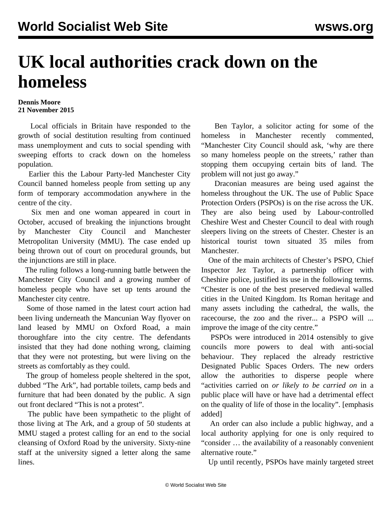## **UK local authorities crack down on the homeless**

## **Dennis Moore 21 November 2015**

 Local officials in Britain have responded to the growth of social destitution resulting from continued mass unemployment and cuts to social spending with sweeping efforts to crack down on the homeless population.

 Earlier this the Labour Party-led Manchester City Council banned homeless people from setting up any form of temporary accommodation [anywhere in the](/en/articles/2015/08/11/manc-a11.html) [centre of the city](/en/articles/2015/08/11/manc-a11.html).

 Six men and one woman appeared in court in October, accused of breaking the injunctions brought by Manchester City Council and Manchester Metropolitan University (MMU). The case ended up being thrown out of court on procedural grounds, but the injunctions are still in place.

 The ruling follows a long-running battle between the Manchester City Council and a growing number of homeless people who have set up tents around the Manchester city centre.

 Some of those named in the latest court action had been living underneath the Mancunian Way flyover on land leased by MMU on Oxford Road, a main thoroughfare into the city centre. The defendants insisted that they had done nothing wrong, claiming that they were not protesting, but were living on the streets as comfortably as they could.

 The group of homeless people sheltered in the spot, dubbed "The Ark", had portable toilets, camp beds and furniture that had been donated by the public. A sign out front declared "This is not a protest".

 The public have been sympathetic to the plight of those living at The Ark, and a group of 50 students at MMU staged a protest calling for an end to the social cleansing of Oxford Road by the university. Sixty-nine staff at the university signed a letter along the same lines.

 Ben Taylor, a solicitor acting for some of the homeless in Manchester recently commented, "Manchester City Council should ask, 'why are there so many homeless people on the streets,' rather than stopping them occupying certain bits of land. The problem will not just go away."

 Draconian measures are being used against the homeless throughout the UK. The use of Public Space Protection Orders (PSPOs) is on the rise across the UK. They are also being used by Labour-controlled Cheshire West and Chester Council to deal with rough sleepers living on the streets of Chester. Chester is an historical tourist town situated 35 miles from Manchester.

 One of the main architects of Chester's PSPO, Chief Inspector Jez Taylor, a partnership officer with Cheshire police, justified its use in the following terms. "Chester is one of the best preserved medieval walled cities in the United Kingdom. Its Roman heritage and many assets including the cathedral, the walls, the racecourse, the zoo and the river... a PSPO will ... improve the image of the city centre."

 PSPOs were [introduced in 2014](/en/articles/2013/08/06/poli-a06.html) ostensibly to give councils more powers to deal with anti-social behaviour. They replaced the already restrictive Designated Public Spaces Orders. The new orders allow the authorities to disperse people where "activities carried on *or likely to be carried on* in a public place will have or have had a detrimental effect on the quality of life of those in the locality". [emphasis added]

 An order can also include a public highway, and a local authority applying for one is only required to "consider … the availability of a reasonably convenient alternative route."

Up until recently, PSPOs have mainly targeted street